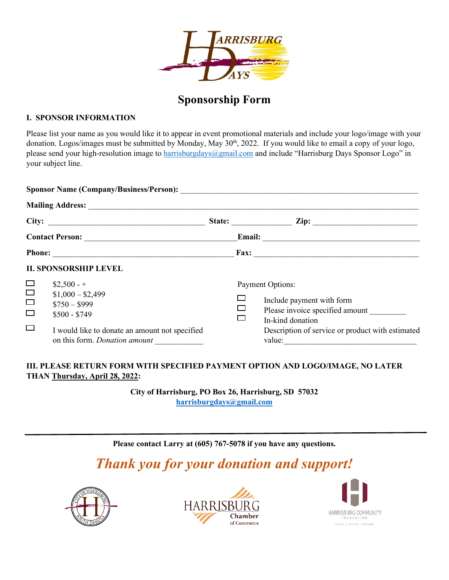

## **Sponsorship Form**

## **I. SPONSOR INFORMATION**

Please list your name as you would like it to appear in event promotional materials and include your logo/image with your donation. Logos/images must be submitted by Monday, May 30<sup>th</sup>, 2022. If you would like to email a copy of your logo, please send your high-resolution image to [harrisburgdays@gmail.com](mailto:harrisburgdays@gmail.com) and include "Harrisburg Days Sponsor Logo" in your subject line.

|                            |                                                                                        |  | State: $\qquad \qquad \text{Zip:} \qquad \qquad$                                                                                                                                                                                                                                                                                                                                                                                                                                                      |
|----------------------------|----------------------------------------------------------------------------------------|--|-------------------------------------------------------------------------------------------------------------------------------------------------------------------------------------------------------------------------------------------------------------------------------------------------------------------------------------------------------------------------------------------------------------------------------------------------------------------------------------------------------|
|                            |                                                                                        |  |                                                                                                                                                                                                                                                                                                                                                                                                                                                                                                       |
| Phone: Fax: Fax:           |                                                                                        |  |                                                                                                                                                                                                                                                                                                                                                                                                                                                                                                       |
|                            | <b>II. SPONSORSHIP LEVEL</b>                                                           |  |                                                                                                                                                                                                                                                                                                                                                                                                                                                                                                       |
| $\Box$<br>$\Box$<br>$\Box$ | $$2,500 - +$<br>$$1,000 - $2,499$<br>$$750 - $999$<br>$$500 - $749$                    |  | Payment Options:<br>Include payment with form<br>Please invoice specified amount<br>In-kind donation                                                                                                                                                                                                                                                                                                                                                                                                  |
| $\Box$                     | I would like to donate an amount not specified<br>on this form. <i>Donation amount</i> |  | Description of service or product with estimated<br>value: $\frac{1}{\sqrt{1-\frac{1}{2}} \cdot \frac{1}{2} \cdot \frac{1}{2} \cdot \frac{1}{2} \cdot \frac{1}{2} \cdot \frac{1}{2} \cdot \frac{1}{2} \cdot \frac{1}{2} \cdot \frac{1}{2} \cdot \frac{1}{2} \cdot \frac{1}{2} \cdot \frac{1}{2} \cdot \frac{1}{2} \cdot \frac{1}{2} \cdot \frac{1}{2} \cdot \frac{1}{2} \cdot \frac{1}{2} \cdot \frac{1}{2} \cdot \frac{1}{2} \cdot \frac{1}{2} \cdot \frac{1}{2} \cdot \frac{1}{2} \cdot \frac{1}{2$ |

## **III. PLEASE RETURN FORM WITH SPECIFIED PAYMENT OPTION AND LOGO/IMAGE, NO LATER THAN Thursday, April 28, 2022:**

**City of Harrisburg, PO Box 26, Harrisburg, SD 57032 [harrisburgdays@gmail.com](mailto:harrisburgdays@gmail.com)**

**Please contact Larry at (605) 767-5078 if you have any questions.**

## *Thank you for your donation and support!*